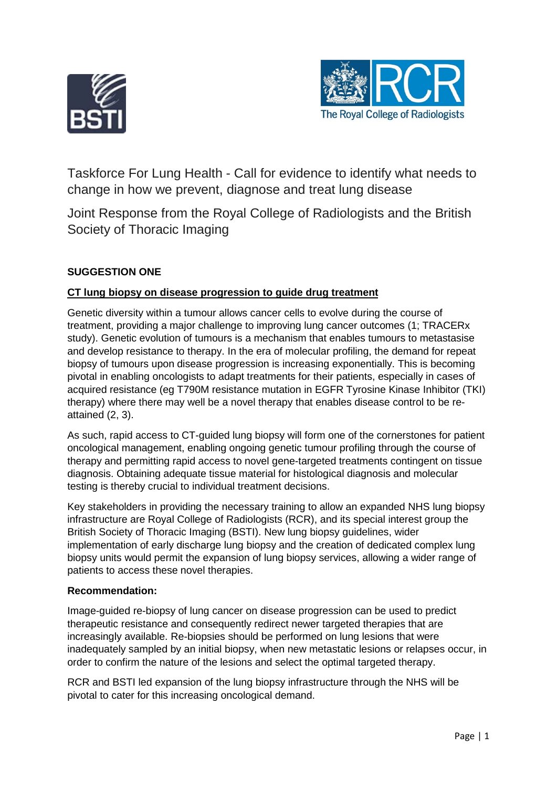



Taskforce For Lung Health - Call for evidence to identify what needs to change in how we prevent, diagnose and treat lung disease

Joint Response from the Royal College of Radiologists and the British Society of Thoracic Imaging

# **SUGGESTION ONE**

## **CT lung biopsy on disease progression to guide drug treatment**

Genetic diversity within a tumour allows cancer cells to evolve during the course of treatment, providing a major challenge to improving lung cancer outcomes (1; TRACERx study). Genetic evolution of tumours is a mechanism that enables tumours to metastasise and develop resistance to therapy. In the era of molecular profiling, the demand for repeat biopsy of tumours upon disease progression is increasing exponentially. This is becoming pivotal in enabling oncologists to adapt treatments for their patients, especially in cases of acquired resistance (eg T790M resistance mutation in EGFR Tyrosine Kinase Inhibitor (TKI) therapy) where there may well be a novel therapy that enables disease control to be reattained (2, 3).

As such, rapid access to CT-guided lung biopsy will form one of the cornerstones for patient oncological management, enabling ongoing genetic tumour profiling through the course of therapy and permitting rapid access to novel gene-targeted treatments contingent on tissue diagnosis. Obtaining adequate tissue material for histological diagnosis and molecular testing is thereby crucial to individual treatment decisions.

Key stakeholders in providing the necessary training to allow an expanded NHS lung biopsy infrastructure are Royal College of Radiologists (RCR), and its special interest group the British Society of Thoracic Imaging (BSTI). New lung biopsy guidelines, wider implementation of early discharge lung biopsy and the creation of dedicated complex lung biopsy units would permit the expansion of lung biopsy services, allowing a wider range of patients to access these novel therapies.

## **Recommendation:**

Image-guided re-biopsy of lung cancer on disease progression can be used to predict therapeutic resistance and consequently redirect newer targeted therapies that are increasingly available. Re-biopsies should be performed on lung lesions that were inadequately sampled by an initial biopsy, when new metastatic lesions or relapses occur, in order to confirm the nature of the lesions and select the optimal targeted therapy.

RCR and BSTI led expansion of the lung biopsy infrastructure through the NHS will be pivotal to cater for this increasing oncological demand.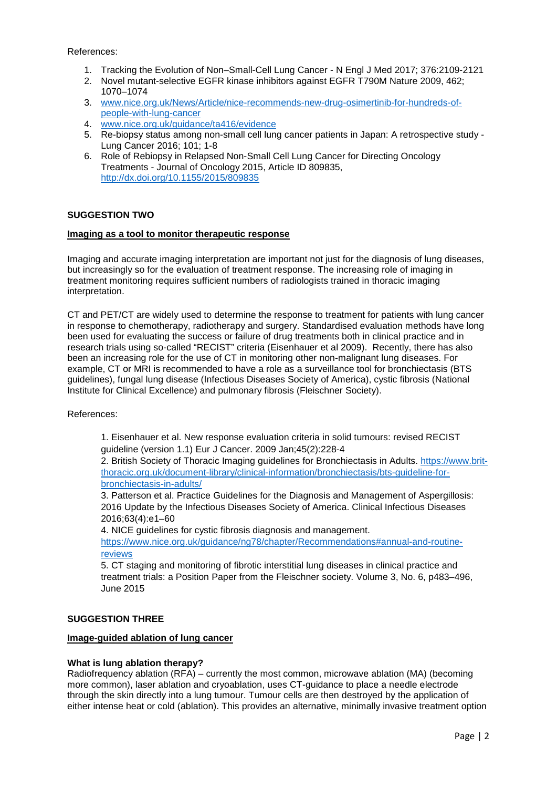References:

- 1. Tracking the Evolution of Non–Small-Cell Lung Cancer N Engl J Med 2017; 376:2109-2121
- 2. Novel mutant-selective EGFR kinase inhibitors against EGFR T790M Nature 2009, 462; 1070–1074
- 3. [www.nice.org.uk/News/Article/nice-recommends-new-drug-osimertinib-for-hundreds-of](http://www.nice.org.uk/News/Article/nice-recommends-new-drug-osimertinib-for-hundreds-of-people-with-lung-cancer)[people-with-lung-cancer](http://www.nice.org.uk/News/Article/nice-recommends-new-drug-osimertinib-for-hundreds-of-people-with-lung-cancer)
- 4. [www.nice.org.uk/guidance/ta416/evidence](http://www.nice.org.uk/guidance/ta416/evidence)
- 5. Re-biopsy status among non-small cell lung cancer patients in Japan: A retrospective study Lung Cancer 2016; 101; 1-8
- 6. Role of Rebiopsy in Relapsed Non-Small Cell Lung Cancer for Directing Oncology Treatments - Journal of Oncology 2015, Article ID 809835, <http://dx.doi.org/10.1155/2015/809835>

## **SUGGESTION TWO**

#### **Imaging as a tool to monitor therapeutic response**

Imaging and accurate imaging interpretation are important not just for the diagnosis of lung diseases, but increasingly so for the evaluation of treatment response. The increasing role of imaging in treatment monitoring requires sufficient numbers of radiologists trained in thoracic imaging interpretation.

CT and PET/CT are widely used to determine the response to treatment for patients with lung cancer in response to chemotherapy, radiotherapy and surgery. Standardised evaluation methods have long been used for evaluating the success or failure of drug treatments both in clinical practice and in research trials using so-called "RECIST" criteria (Eisenhauer et al 2009). Recently, there has also been an increasing role for the use of CT in monitoring other non-malignant lung diseases. For example, CT or MRI is recommended to have a role as a surveillance tool for bronchiectasis (BTS guidelines), fungal lung disease (Infectious Diseases Society of America), cystic fibrosis (National Institute for Clinical Excellence) and pulmonary fibrosis (Fleischner Society).

References:

1. Eisenhauer et al. New response evaluation criteria in solid tumours: revised RECIST guideline (version 1.1) Eur J Cancer. 2009 Jan;45(2):228-4

2. British Society of Thoracic Imaging guidelines for Bronchiectasis in Adults. [https://www.brit](https://www.brit-thoracic.org.uk/document-library/clinical-information/bronchiectasis/bts-guideline-for-bronchiectasis-in-adults/)[thoracic.org.uk/document-library/clinical-information/bronchiectasis/bts-guideline-for](https://www.brit-thoracic.org.uk/document-library/clinical-information/bronchiectasis/bts-guideline-for-bronchiectasis-in-adults/)[bronchiectasis-in-adults/](https://www.brit-thoracic.org.uk/document-library/clinical-information/bronchiectasis/bts-guideline-for-bronchiectasis-in-adults/)

3. Patterson et al. Practice Guidelines for the Diagnosis and Management of Aspergillosis: 2016 Update by the Infectious Diseases Society of America. Clinical Infectious Diseases 2016;63(4):e1–60

4. NICE guidelines for cystic fibrosis diagnosis and management.

[https://www.nice.org.uk/guidance/ng78/chapter/Recommendations#annual-and-routine](https://www.nice.org.uk/guidance/ng78/chapter/Recommendations#annual-and-routine-reviews)[reviews](https://www.nice.org.uk/guidance/ng78/chapter/Recommendations#annual-and-routine-reviews)

5. CT staging and monitoring of fibrotic interstitial lung diseases in clinical practice and treatment trials: a Position Paper from the Fleischner society. Volume 3, No. 6, p483–496, June 2015

## **SUGGESTION THREE**

## **Image-guided ablation of lung cancer**

## **What is lung ablation therapy?**

Radiofrequency ablation (RFA) – currently the most common, microwave ablation (MA) (becoming more common), laser ablation and cryoablation, uses CT-guidance to place a needle electrode through the skin directly into a lung tumour. Tumour cells are then destroyed by the application of either intense heat or cold (ablation). This provides an alternative, minimally invasive treatment option